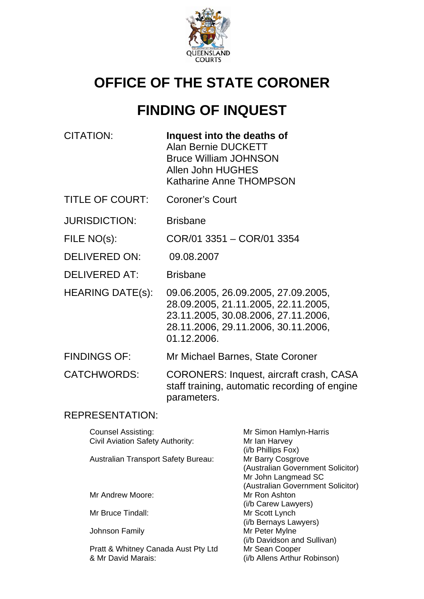

# **OFFICE OF THE STATE CORONER**

# **FINDING OF INQUEST**

| CITATION: | Inquest into the deaths of     |  |
|-----------|--------------------------------|--|
|           | Alan Bernie DUCKETT            |  |
|           | <b>Bruce William JOHNSON</b>   |  |
|           | Allen John HUGHES              |  |
|           | <b>Katharine Anne THOMPSON</b> |  |
|           |                                |  |

TITLE OF COURT: Coroner's Court

JURISDICTION: Brisbane

FILE NO(s): COR/01 3351 – COR/01 3354

- DELIVERED ON: 09.08.2007
- DELIVERED AT: Brisbane
- HEARING DATE(s): 09.06.2005, 26.09.2005, 27.09.2005, 28.09.2005, 21.11.2005, 22.11.2005, 23.11.2005, 30.08.2006, 27.11.2006, 28.11.2006, 29.11.2006, 30.11.2006, 01.12.2006.
- FINDINGS OF: Mr Michael Barnes, State Coroner

CATCHWORDS: CORONERS: Inquest, aircraft crash, CASA staff training, automatic recording of engine parameters.

# REPRESENTATION:

| Counsel Assisting:                  | Mr Simon Hamlyn-Harris                                 |
|-------------------------------------|--------------------------------------------------------|
| Civil Aviation Safety Authority:    | Mr Ian Harvey<br>(i/b Phillips Fox)                    |
| Australian Transport Safety Bureau: | Mr Barry Cosgrove<br>(Australian Government Solicitor) |
|                                     | Mr John Langmead SC                                    |
|                                     | (Australian Government Solicitor)                      |
| Mr Andrew Moore:                    | Mr Ron Ashton                                          |
|                                     | (i/b Carew Lawyers)                                    |
| Mr Bruce Tindall:                   | Mr Scott Lynch                                         |
|                                     | (i/b Bernays Lawyers)                                  |
| Johnson Family                      | Mr Peter Mylne                                         |
|                                     | (i/b Davidson and Sullivan)                            |
| Pratt & Whitney Canada Aust Pty Ltd | Mr Sean Cooper                                         |
| & Mr David Marais:                  | (i/b Allens Arthur Robinson)                           |
|                                     |                                                        |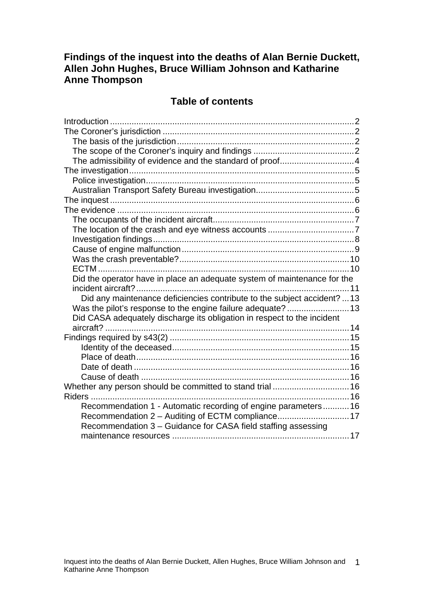# **Findings of the inquest into the deaths of Alan Bernie Duckett, Allen John Hughes, Bruce William Johnson and Katharine Anne Thompson**

# **Table of contents**

| The admissibility of evidence and the standard of proof4                 |  |
|--------------------------------------------------------------------------|--|
|                                                                          |  |
|                                                                          |  |
|                                                                          |  |
|                                                                          |  |
|                                                                          |  |
|                                                                          |  |
|                                                                          |  |
|                                                                          |  |
|                                                                          |  |
|                                                                          |  |
|                                                                          |  |
| Did the operator have in place an adequate system of maintenance for the |  |
|                                                                          |  |
| Did any maintenance deficiencies contribute to the subject accident?  13 |  |
|                                                                          |  |
| Did CASA adequately discharge its obligation in respect to the incident  |  |
| aircraft?                                                                |  |
|                                                                          |  |
|                                                                          |  |
|                                                                          |  |
|                                                                          |  |
|                                                                          |  |
| Whether any person should be committed to stand trial  16                |  |
|                                                                          |  |
| Recommendation 1 - Automatic recording of engine parameters 16           |  |
| Recommendation 2 – Auditing of ECTM compliance17                         |  |
| Recommendation 3 - Guidance for CASA field staffing assessing            |  |
|                                                                          |  |
|                                                                          |  |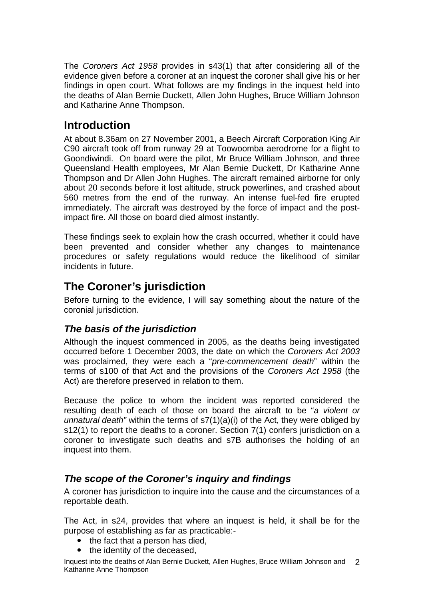<span id="page-2-0"></span>The *Coroners Act 1958* provides in s43(1) that after considering all of the evidence given before a coroner at an inquest the coroner shall give his or her findings in open court. What follows are my findings in the inquest held into the deaths of Alan Bernie Duckett, Allen John Hughes, Bruce William Johnson and Katharine Anne Thompson.

# **Introduction**

At about 8.36am on 27 November 2001, a Beech Aircraft Corporation King Air C90 aircraft took off from runway 29 at Toowoomba aerodrome for a flight to Goondiwindi. On board were the pilot, Mr Bruce William Johnson, and three Queensland Health employees, Mr Alan Bernie Duckett, Dr Katharine Anne Thompson and Dr Allen John Hughes. The aircraft remained airborne for only about 20 seconds before it lost altitude, struck powerlines, and crashed about 560 metres from the end of the runway. An intense fuel-fed fire erupted immediately. The aircraft was destroyed by the force of impact and the postimpact fire. All those on board died almost instantly.

These findings seek to explain how the crash occurred, whether it could have been prevented and consider whether any changes to maintenance procedures or safety regulations would reduce the likelihood of similar incidents in future.

# **The Coroner's jurisdiction**

Before turning to the evidence, I will say something about the nature of the coronial jurisdiction.

# *The basis of the jurisdiction*

Although the inquest commenced in 2005, as the deaths being investigated occurred before 1 December 2003, the date on which the *Coroners Act 2003* was proclaimed, they were each a "*pre-commencement death*" within the terms of s100 of that Act and the provisions of the *Coroners Act 1958* (the Act) are therefore preserved in relation to them.

Because the police to whom the incident was reported considered the resulting death of each of those on board the aircraft to be "*a violent or unnatural death"* within the terms of s7(1)(a)(i) of the Act, they were obliged by s12(1) to report the deaths to a coroner. Section 7(1) confers jurisdiction on a coroner to investigate such deaths and s7B authorises the holding of an inquest into them.

# *The scope of the Coroner's inquiry and findings*

A coroner has jurisdiction to inquire into the cause and the circumstances of a reportable death.

The Act, in s24, provides that where an inquest is held, it shall be for the purpose of establishing as far as practicable:-

- $\bullet$  the fact that a person has died,
- the identity of the deceased.

Inquest into the deaths of Alan Bernie Duckett, Allen Hughes, Bruce William Johnson and 2 Katharine Anne Thompson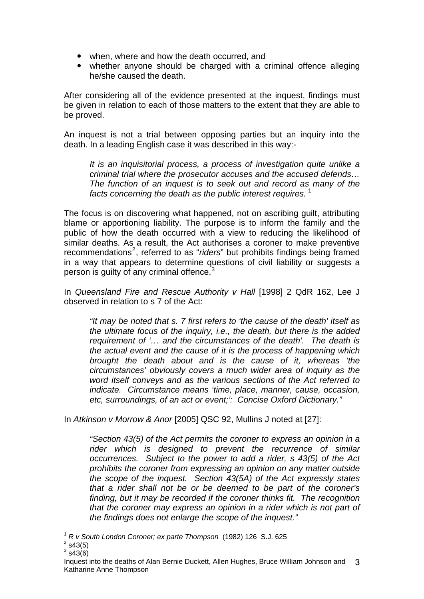- when, where and how the death occurred, and
- whether anyone should be charged with a criminal offence alleging he/she caused the death.

After considering all of the evidence presented at the inquest, findings must be given in relation to each of those matters to the extent that they are able to be proved.

An inquest is not a trial between opposing parties but an inquiry into the death. In a leading English case it was described in this way:-

*It is an inquisitorial process, a process of investigation quite unlike a criminal trial where the prosecutor accuses and the accused defends… The function of an inquest is to seek out and record as many of the*  facts concerning the death as the public interest requires.<sup>[1](#page-3-0)</sup>

The focus is on discovering what happened, not on ascribing guilt, attributing blame or apportioning liability. The purpose is to inform the family and the public of how the death occurred with a view to reducing the likelihood of similar deaths. As a result, the Act authorises a coroner to make preventive recommendations<sup>[2](#page-3-1)</sup>, referred to as "*riders*" but prohibits findings being framed in a way that appears to determine questions of civil liability or suggests a person is quilty of any criminal offence.<sup>[3](#page-3-2)</sup>

In *Queensland Fire and Rescue Authority v Hall* [1998] 2 QdR 162, Lee J observed in relation to s 7 of the Act:

*"It may be noted that s. 7 first refers to 'the cause of the death' itself as the ultimate focus of the inquiry, i.e., the death, but there is the added requirement of '… and the circumstances of the death'. The death is the actual event and the cause of it is the process of happening which brought the death about and is the cause of it, whereas 'the circumstances' obviously covers a much wider area of inquiry as the word itself conveys and as the various sections of the Act referred to indicate. Circumstance means 'time, place, manner, cause, occasion, etc, surroundings, of an act or event;': Concise Oxford Dictionary."* 

In *Atkinson v Morrow & Anor* [2005] QSC 92, Mullins J noted at [27]:

*"Section 43(5) of the Act permits the coroner to express an opinion in a rider which is designed to prevent the recurrence of similar occurrences. Subject to the power to add a rider, s 43(5) of the Act prohibits the coroner from expressing an opinion on any matter outside the scope of the inquest. Section 43(5A) of the Act expressly states that a rider shall not be or be deemed to be part of the coroner's finding, but it may be recorded if the coroner thinks fit. The recognition*  that the coroner may express an opinion in a rider which is not part of *the findings does not enlarge the scope of the inquest."* 

 $3$  s43(6)

l <sup>1</sup> *R v South London Coroner; ex parte Thompson* (1982) 126 S.J. 625 2

<span id="page-3-2"></span><span id="page-3-1"></span><span id="page-3-0"></span> $2$  s43(5)

Inquest into the deaths of Alan Bernie Duckett, Allen Hughes, Bruce William Johnson and 3 Katharine Anne Thompson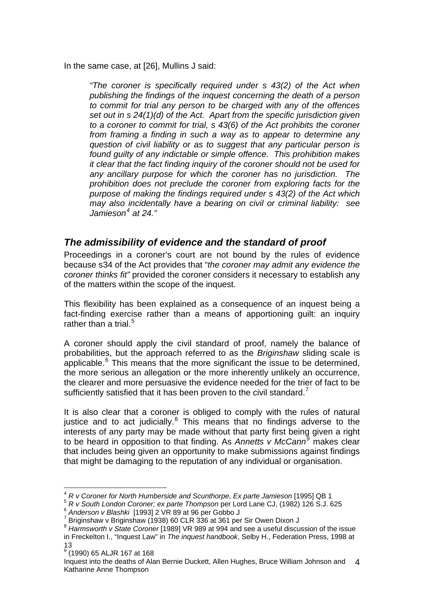<span id="page-4-0"></span>In the same case, at [26], Mullins J said:

*"The coroner is specifically required under s 43(2) of the Act when publishing the findings of the inquest concerning the death of a person to commit for trial any person to be charged with any of the offences set out in s 24(1)(d) of the Act. Apart from the specific jurisdiction given to a coroner to commit for trial, s 43(6) of the Act prohibits the coroner from framing a finding in such a way as to appear to determine any question of civil liability or as to suggest that any particular person is found guilty of any indictable or simple offence. This prohibition makes it clear that the fact finding inquiry of the coroner should not be used for any ancillary purpose for which the coroner has no jurisdiction. The prohibition does not preclude the coroner from exploring facts for the purpose of making the findings required under s 43(2) of the Act which may also incidentally have a bearing on civil or criminal liability: see*  Jamieson<sup>[4](#page-4-1)</sup> at 24."

### *The admissibility of evidence and the standard of proof*

Proceedings in a coroner's court are not bound by the rules of evidence because s34 of the Act provides that "*the coroner may admit any evidence the coroner thinks fit"* provided the coroner considers it necessary to establish any of the matters within the scope of the inquest.

This flexibility has been explained as a consequence of an inquest being a fact-finding exercise rather than a means of apportioning guilt: an inquiry rather than a trial. $5$ 

A coroner should apply the civil standard of proof, namely the balance of probabilities, but the approach referred to as the *Briginshaw* sliding scale is applicable. $6$  This means that the more significant the issue to be determined, the more serious an allegation or the more inherently unlikely an occurrence, the clearer and more persuasive the evidence needed for the trier of fact to be sufficiently satisfied that it has been proven to the civil standard.<sup>[7](#page-4-4)</sup>

It is also clear that a coroner is obliged to comply with the rules of natural justice and to act judicially.<sup>[8](#page-4-5)</sup> This means that no findings adverse to the interests of any party may be made without that party first being given a right to be heard in opposition to that finding. As *Annetts v McCann[9](#page-4-6)* makes clear that includes being given an opportunity to make submissions against findings that might be damaging to the reputation of any individual or organisation.

l

<sup>4</sup> *R v Coroner for North Humberside and Scunthorpe, Ex parte Jamieson* [1995] QB 1

<span id="page-4-2"></span><span id="page-4-1"></span><sup>5</sup> *R v South London Coroner; ex parte Thompson* per Lord Lane CJ, (1982) 126 S.J. 625 6 *Anderson v Blashki* [1993] 2 VR 89 at 96 per Gobbo J 7

<span id="page-4-3"></span>

 $7$  Briginshaw v Briginshaw (1938) 60 CLR 336 at 361 per Sir Owen Dixon J

<span id="page-4-5"></span><span id="page-4-4"></span><sup>8</sup> *Harmsworth v State Coroner* [1989] VR 989 at 994 and see a useful discussion of the issue in Freckelton I., "Inquest Law" in *The inquest handbook*, Selby H., Federation Press, 1998 at 13 9 (1990) 65 ALJR 167 at 168

<span id="page-4-6"></span>Inquest into the deaths of Alan Bernie Duckett, Allen Hughes, Bruce William Johnson and 4 Katharine Anne Thompson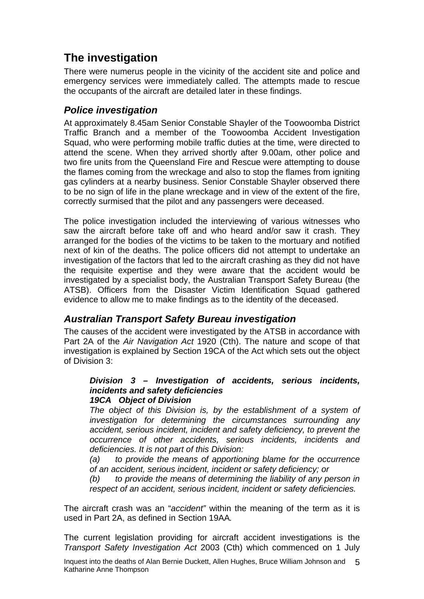# <span id="page-5-0"></span>**The investigation**

There were numerus people in the vicinity of the accident site and police and emergency services were immediately called. The attempts made to rescue the occupants of the aircraft are detailed later in these findings.

# *Police investigation*

At approximately 8.45am Senior Constable Shayler of the Toowoomba District Traffic Branch and a member of the Toowoomba Accident Investigation Squad, who were performing mobile traffic duties at the time, were directed to attend the scene. When they arrived shortly after 9.00am, other police and two fire units from the Queensland Fire and Rescue were attempting to douse the flames coming from the wreckage and also to stop the flames from igniting gas cylinders at a nearby business. Senior Constable Shayler observed there to be no sign of life in the plane wreckage and in view of the extent of the fire, correctly surmised that the pilot and any passengers were deceased.

The police investigation included the interviewing of various witnesses who saw the aircraft before take off and who heard and/or saw it crash. They arranged for the bodies of the victims to be taken to the mortuary and notified next of kin of the deaths. The police officers did not attempt to undertake an investigation of the factors that led to the aircraft crashing as they did not have the requisite expertise and they were aware that the accident would be investigated by a specialist body, the Australian Transport Safety Bureau (the ATSB). Officers from the Disaster Victim Identification Squad gathered evidence to allow me to make findings as to the identity of the deceased.

# *Australian Transport Safety Bureau investigation*

The causes of the accident were investigated by the ATSB in accordance with Part 2A of the *Air Navigation Act* 1920 (Cth). The nature and scope of that investigation is explained by Section 19CA of the Act which sets out the object of Division 3:

#### *Division 3 – Investigation of accidents, serious incidents, incidents and safety deficiencies 19CA Object of Division*

*The object of this Division is, by the establishment of a system of investigation for determining the circumstances surrounding any accident, serious incident, incident and safety deficiency, to prevent the occurrence of other accidents, serious incidents, incidents and deficiencies. It is not part of this Division:* 

*(a) to provide the means of apportioning blame for the occurrence of an accident, serious incident, incident or safety deficiency; or* 

*(b) to provide the means of determining the liability of any person in respect of an accident, serious incident, incident or safety deficiencies.* 

The aircraft crash was an "*accident"* within the meaning of the term as it is used in Part 2A, as defined in Section 19AA*.* 

The current legislation providing for aircraft accident investigations is the *Transport Safety Investigation Act* 2003 (Cth) which commenced on 1 July

Inquest into the deaths of Alan Bernie Duckett, Allen Hughes, Bruce William Johnson and 5 Katharine Anne Thompson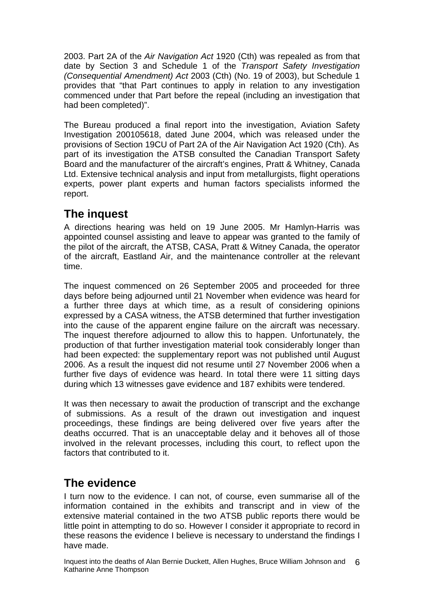<span id="page-6-0"></span>2003. Part 2A of the *Air Navigation Act* 1920 (Cth) was repealed as from that date by Section 3 and Schedule 1 of the *Transport Safety Investigation (Consequential Amendment) Act* 2003 (Cth) (No. 19 of 2003), but Schedule 1 provides that "that Part continues to apply in relation to any investigation commenced under that Part before the repeal (including an investigation that had been completed)".

The Bureau produced a final report into the investigation, Aviation Safety Investigation 200105618, dated June 2004, which was released under the provisions of Section 19CU of Part 2A of the Air Navigation Act 1920 (Cth). As part of its investigation the ATSB consulted the Canadian Transport Safety Board and the manufacturer of the aircraft's engines, Pratt & Whitney, Canada Ltd. Extensive technical analysis and input from metallurgists, flight operations experts, power plant experts and human factors specialists informed the report.

# **The inquest**

A directions hearing was held on 19 June 2005. Mr Hamlyn-Harris was appointed counsel assisting and leave to appear was granted to the family of the pilot of the aircraft, the ATSB, CASA, Pratt & Witney Canada, the operator of the aircraft, Eastland Air, and the maintenance controller at the relevant time.

The inquest commenced on 26 September 2005 and proceeded for three days before being adjourned until 21 November when evidence was heard for a further three days at which time, as a result of considering opinions expressed by a CASA witness, the ATSB determined that further investigation into the cause of the apparent engine failure on the aircraft was necessary. The inquest therefore adjourned to allow this to happen. Unfortunately, the production of that further investigation material took considerably longer than had been expected: the supplementary report was not published until August 2006. As a result the inquest did not resume until 27 November 2006 when a further five days of evidence was heard. In total there were 11 sitting days during which 13 witnesses gave evidence and 187 exhibits were tendered.

It was then necessary to await the production of transcript and the exchange of submissions. As a result of the drawn out investigation and inquest proceedings, these findings are being delivered over five years after the deaths occurred. That is an unacceptable delay and it behoves all of those involved in the relevant processes, including this court, to reflect upon the factors that contributed to it.

# **The evidence**

I turn now to the evidence. I can not, of course, even summarise all of the information contained in the exhibits and transcript and in view of the extensive material contained in the two ATSB public reports there would be little point in attempting to do so. However I consider it appropriate to record in these reasons the evidence I believe is necessary to understand the findings I have made.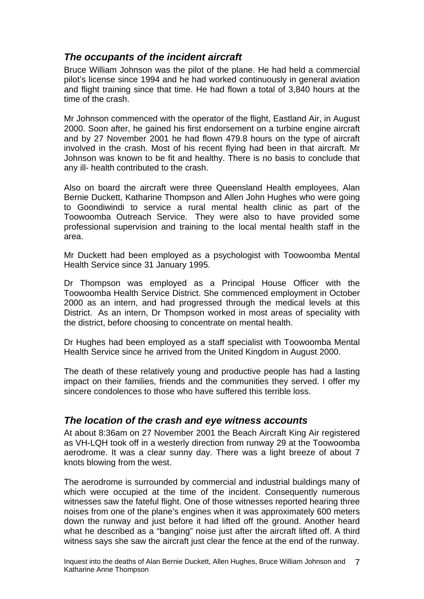# <span id="page-7-0"></span>*The occupants of the incident aircraft*

Bruce William Johnson was the pilot of the plane. He had held a commercial pilot's license since 1994 and he had worked continuously in general aviation and flight training since that time. He had flown a total of 3,840 hours at the time of the crash.

Mr Johnson commenced with the operator of the flight, Eastland Air, in August 2000. Soon after, he gained his first endorsement on a turbine engine aircraft and by 27 November 2001 he had flown 479.8 hours on the type of aircraft involved in the crash. Most of his recent flying had been in that aircraft. Mr Johnson was known to be fit and healthy. There is no basis to conclude that any ill- health contributed to the crash.

Also on board the aircraft were three Queensland Health employees, Alan Bernie Duckett, Katharine Thompson and Allen John Hughes who were going to Goondiwindi to service a rural mental health clinic as part of the Toowoomba Outreach Service. They were also to have provided some professional supervision and training to the local mental health staff in the area.

Mr Duckett had been employed as a psychologist with Toowoomba Mental Health Service since 31 January 1995.

Dr Thompson was employed as a Principal House Officer with the Toowoomba Health Service District. She commenced employment in October 2000 as an intern, and had progressed through the medical levels at this District. As an intern, Dr Thompson worked in most areas of speciality with the district, before choosing to concentrate on mental health.

Dr Hughes had been employed as a staff specialist with Toowoomba Mental Health Service since he arrived from the United Kingdom in August 2000.

The death of these relatively young and productive people has had a lasting impact on their families, friends and the communities they served. I offer my sincere condolences to those who have suffered this terrible loss.

# *The location of the crash and eye witness accounts*

At about 8:36am on 27 November 2001 the Beach Aircraft King Air registered as VH-LQH took off in a westerly direction from runway 29 at the Toowoomba aerodrome. It was a clear sunny day. There was a light breeze of about 7 knots blowing from the west.

The aerodrome is surrounded by commercial and industrial buildings many of which were occupied at the time of the incident. Consequently numerous witnesses saw the fateful flight. One of those witnesses reported hearing three noises from one of the plane's engines when it was approximately 600 meters down the runway and just before it had lifted off the ground. Another heard what he described as a "banging" noise just after the aircraft lifted off. A third witness says she saw the aircraft just clear the fence at the end of the runway.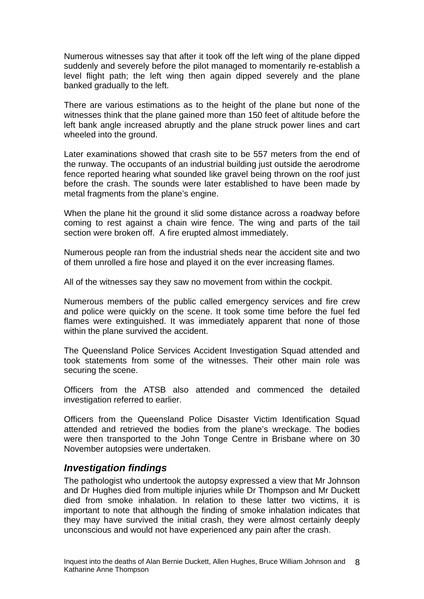<span id="page-8-0"></span>Numerous witnesses say that after it took off the left wing of the plane dipped suddenly and severely before the pilot managed to momentarily re-establish a level flight path; the left wing then again dipped severely and the plane banked gradually to the left.

There are various estimations as to the height of the plane but none of the witnesses think that the plane gained more than 150 feet of altitude before the left bank angle increased abruptly and the plane struck power lines and cart wheeled into the ground.

Later examinations showed that crash site to be 557 meters from the end of the runway. The occupants of an industrial building just outside the aerodrome fence reported hearing what sounded like gravel being thrown on the roof just before the crash. The sounds were later established to have been made by metal fragments from the plane's engine.

When the plane hit the ground it slid some distance across a roadway before coming to rest against a chain wire fence. The wing and parts of the tail section were broken off. A fire erupted almost immediately.

Numerous people ran from the industrial sheds near the accident site and two of them unrolled a fire hose and played it on the ever increasing flames.

All of the witnesses say they saw no movement from within the cockpit.

Numerous members of the public called emergency services and fire crew and police were quickly on the scene. It took some time before the fuel fed flames were extinguished. It was immediately apparent that none of those within the plane survived the accident.

The Queensland Police Services Accident Investigation Squad attended and took statements from some of the witnesses. Their other main role was securing the scene.

Officers from the ATSB also attended and commenced the detailed investigation referred to earlier.

Officers from the Queensland Police Disaster Victim Identification Squad attended and retrieved the bodies from the plane's wreckage. The bodies were then transported to the John Tonge Centre in Brisbane where on 30 November autopsies were undertaken.

#### *Investigation findings*

The pathologist who undertook the autopsy expressed a view that Mr Johnson and Dr Hughes died from multiple injuries while Dr Thompson and Mr Duckett died from smoke inhalation. In relation to these latter two victims, it is important to note that although the finding of smoke inhalation indicates that they may have survived the initial crash, they were almost certainly deeply unconscious and would not have experienced any pain after the crash.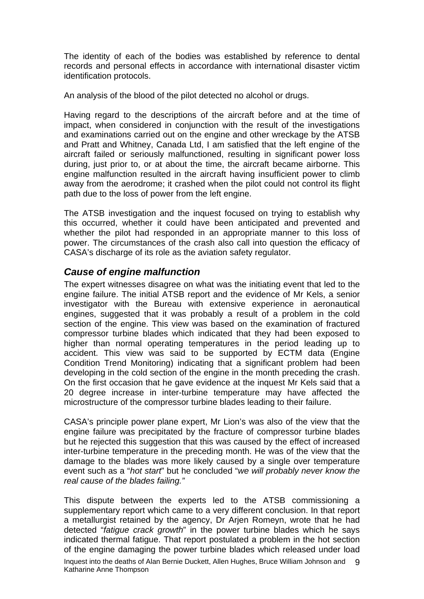<span id="page-9-0"></span>The identity of each of the bodies was established by reference to dental records and personal effects in accordance with international disaster victim identification protocols.

An analysis of the blood of the pilot detected no alcohol or drugs.

Having regard to the descriptions of the aircraft before and at the time of impact, when considered in conjunction with the result of the investigations and examinations carried out on the engine and other wreckage by the ATSB and Pratt and Whitney, Canada Ltd, I am satisfied that the left engine of the aircraft failed or seriously malfunctioned, resulting in significant power loss during, just prior to, or at about the time, the aircraft became airborne. This engine malfunction resulted in the aircraft having insufficient power to climb away from the aerodrome; it crashed when the pilot could not control its flight path due to the loss of power from the left engine.

The ATSB investigation and the inquest focused on trying to establish why this occurred, whether it could have been anticipated and prevented and whether the pilot had responded in an appropriate manner to this loss of power. The circumstances of the crash also call into question the efficacy of CASA's discharge of its role as the aviation safety regulator.

# *Cause of engine malfunction*

The expert witnesses disagree on what was the initiating event that led to the engine failure. The initial ATSB report and the evidence of Mr Kels, a senior investigator with the Bureau with extensive experience in aeronautical engines, suggested that it was probably a result of a problem in the cold section of the engine. This view was based on the examination of fractured compressor turbine blades which indicated that they had been exposed to higher than normal operating temperatures in the period leading up to accident. This view was said to be supported by ECTM data (Engine Condition Trend Monitoring) indicating that a significant problem had been developing in the cold section of the engine in the month preceding the crash. On the first occasion that he gave evidence at the inquest Mr Kels said that a 20 degree increase in inter-turbine temperature may have affected the microstructure of the compressor turbine blades leading to their failure.

CASA's principle power plane expert, Mr Lion's was also of the view that the engine failure was precipitated by the fracture of compressor turbine blades but he rejected this suggestion that this was caused by the effect of increased inter-turbine temperature in the preceding month. He was of the view that the damage to the blades was more likely caused by a single over temperature event such as a "*hot start*" but he concluded "*we will probably never know the real cause of the blades failing."* 

Inquest into the deaths of Alan Bernie Duckett, Allen Hughes, Bruce William Johnson and 9 Katharine Anne Thompson This dispute between the experts led to the ATSB commissioning a supplementary report which came to a very different conclusion. In that report a metallurgist retained by the agency, Dr Arjen Romeyn, wrote that he had detected "*fatigue crack growth*" in the power turbine blades which he says indicated thermal fatigue. That report postulated a problem in the hot section of the engine damaging the power turbine blades which released under load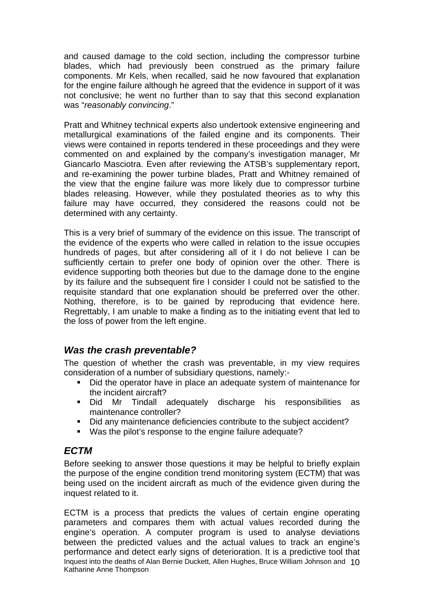<span id="page-10-0"></span>and caused damage to the cold section, including the compressor turbine blades, which had previously been construed as the primary failure components. Mr Kels, when recalled, said he now favoured that explanation for the engine failure although he agreed that the evidence in support of it was not conclusive; he went no further than to say that this second explanation was "*reasonably convincing*."

Pratt and Whitney technical experts also undertook extensive engineering and metallurgical examinations of the failed engine and its components. Their views were contained in reports tendered in these proceedings and they were commented on and explained by the company's investigation manager, Mr Giancarlo Masciotra. Even after reviewing the ATSB's supplementary report, and re-examining the power turbine blades, Pratt and Whitney remained of the view that the engine failure was more likely due to compressor turbine blades releasing. However, while they postulated theories as to why this failure may have occurred, they considered the reasons could not be determined with any certainty.

This is a very brief of summary of the evidence on this issue. The transcript of the evidence of the experts who were called in relation to the issue occupies hundreds of pages, but after considering all of it I do not believe I can be sufficiently certain to prefer one body of opinion over the other. There is evidence supporting both theories but due to the damage done to the engine by its failure and the subsequent fire I consider I could not be satisfied to the requisite standard that one explanation should be preferred over the other. Nothing, therefore, is to be gained by reproducing that evidence here. Regrettably, I am unable to make a finding as to the initiating event that led to the loss of power from the left engine.

# *Was the crash preventable?*

The question of whether the crash was preventable, in my view requires consideration of a number of subsidiary questions, namely:-

- Did the operator have in place an adequate system of maintenance for the incident aircraft?
- Did Mr Tindall adequately discharge his responsibilities as maintenance controller?
- Did any maintenance deficiencies contribute to the subject accident?
- Was the pilot's response to the engine failure adequate?

# *ECTM*

Before seeking to answer those questions it may be helpful to briefly explain the purpose of the engine condition trend monitoring system (ECTM) that was being used on the incident aircraft as much of the evidence given during the inquest related to it.

Inquest into the deaths of Alan Bernie Duckett, Allen Hughes, Bruce William Johnson and 10 Katharine Anne Thompson ECTM is a process that predicts the values of certain engine operating parameters and compares them with actual values recorded during the engine's operation. A computer program is used to analyse deviations between the predicted values and the actual values to track an engine's performance and detect early signs of deterioration. It is a predictive tool that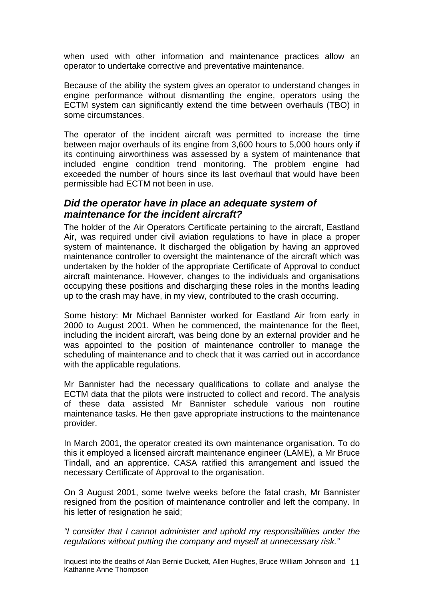<span id="page-11-0"></span>when used with other information and maintenance practices allow an operator to undertake corrective and preventative maintenance.

Because of the ability the system gives an operator to understand changes in engine performance without dismantling the engine, operators using the ECTM system can significantly extend the time between overhauls (TBO) in some circumstances.

The operator of the incident aircraft was permitted to increase the time between major overhauls of its engine from 3,600 hours to 5,000 hours only if its continuing airworthiness was assessed by a system of maintenance that included engine condition trend monitoring. The problem engine had exceeded the number of hours since its last overhaul that would have been permissible had ECTM not been in use.

# *Did the operator have in place an adequate system of maintenance for the incident aircraft?*

The holder of the Air Operators Certificate pertaining to the aircraft, Eastland Air, was required under civil aviation regulations to have in place a proper system of maintenance. It discharged the obligation by having an approved maintenance controller to oversight the maintenance of the aircraft which was undertaken by the holder of the appropriate Certificate of Approval to conduct aircraft maintenance. However, changes to the individuals and organisations occupying these positions and discharging these roles in the months leading up to the crash may have, in my view, contributed to the crash occurring.

Some history: Mr Michael Bannister worked for Eastland Air from early in 2000 to August 2001. When he commenced, the maintenance for the fleet, including the incident aircraft, was being done by an external provider and he was appointed to the position of maintenance controller to manage the scheduling of maintenance and to check that it was carried out in accordance with the applicable regulations.

Mr Bannister had the necessary qualifications to collate and analyse the ECTM data that the pilots were instructed to collect and record. The analysis of these data assisted Mr Bannister schedule various non routine maintenance tasks. He then gave appropriate instructions to the maintenance provider.

In March 2001, the operator created its own maintenance organisation. To do this it employed a licensed aircraft maintenance engineer (LAME), a Mr Bruce Tindall, and an apprentice. CASA ratified this arrangement and issued the necessary Certificate of Approval to the organisation.

On 3 August 2001, some twelve weeks before the fatal crash, Mr Bannister resigned from the position of maintenance controller and left the company. In his letter of resignation he said;

*"I consider that I cannot administer and uphold my responsibilities under the regulations without putting the company and myself at unnecessary risk."* 

Inquest into the deaths of Alan Bernie Duckett, Allen Hughes, Bruce William Johnson and 11 Katharine Anne Thompson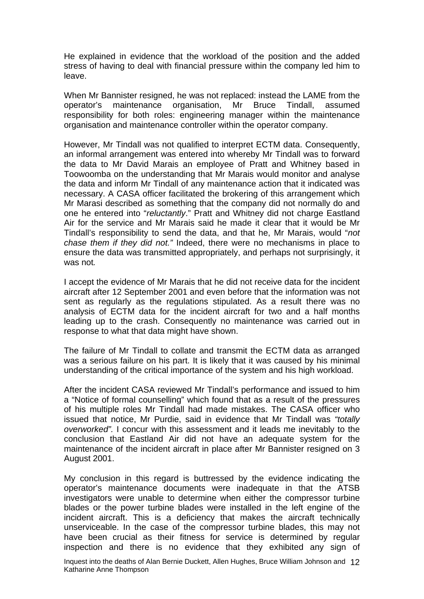He explained in evidence that the workload of the position and the added stress of having to deal with financial pressure within the company led him to leave.

When Mr Bannister resigned, he was not replaced: instead the LAME from the operator's maintenance organisation, Mr Bruce Tindall, assumed responsibility for both roles: engineering manager within the maintenance organisation and maintenance controller within the operator company.

However, Mr Tindall was not qualified to interpret ECTM data. Consequently, an informal arrangement was entered into whereby Mr Tindall was to forward the data to Mr David Marais an employee of Pratt and Whitney based in Toowoomba on the understanding that Mr Marais would monitor and analyse the data and inform Mr Tindall of any maintenance action that it indicated was necessary. A CASA officer facilitated the brokering of this arrangement which Mr Marasi described as something that the company did not normally do and one he entered into "*reluctantly*." Pratt and Whitney did not charge Eastland Air for the service and Mr Marais said he made it clear that it would be Mr Tindall's responsibility to send the data, and that he, Mr Marais, would "*not chase them if they did not."* Indeed, there were no mechanisms in place to ensure the data was transmitted appropriately, and perhaps not surprisingly, it was not*.* 

I accept the evidence of Mr Marais that he did not receive data for the incident aircraft after 12 September 2001 and even before that the information was not sent as regularly as the regulations stipulated. As a result there was no analysis of ECTM data for the incident aircraft for two and a half months leading up to the crash. Consequently no maintenance was carried out in response to what that data might have shown.

The failure of Mr Tindall to collate and transmit the ECTM data as arranged was a serious failure on his part. It is likely that it was caused by his minimal understanding of the critical importance of the system and his high workload.

After the incident CASA reviewed Mr Tindall's performance and issued to him a "Notice of formal counselling" which found that as a result of the pressures of his multiple roles Mr Tindall had made mistakes. The CASA officer who issued that notice, Mr Purdie, said in evidence that Mr Tindall was *"totally overworked".* I concur with this assessment and it leads me inevitably to the conclusion that Eastland Air did not have an adequate system for the maintenance of the incident aircraft in place after Mr Bannister resigned on 3 August 2001.

My conclusion in this regard is buttressed by the evidence indicating the operator's maintenance documents were inadequate in that the ATSB investigators were unable to determine when either the compressor turbine blades or the power turbine blades were installed in the left engine of the incident aircraft. This is a deficiency that makes the aircraft technically unserviceable. In the case of the compressor turbine blades, this may not have been crucial as their fitness for service is determined by regular inspection and there is no evidence that they exhibited any sign of

Inquest into the deaths of Alan Bernie Duckett, Allen Hughes, Bruce William Johnson and 12 Katharine Anne Thompson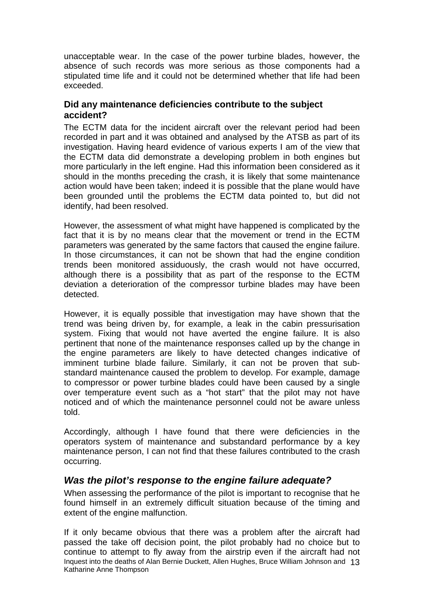<span id="page-13-0"></span>unacceptable wear. In the case of the power turbine blades, however, the absence of such records was more serious as those components had a stipulated time life and it could not be determined whether that life had been exceeded.

#### **Did any maintenance deficiencies contribute to the subject accident?**

The ECTM data for the incident aircraft over the relevant period had been recorded in part and it was obtained and analysed by the ATSB as part of its investigation. Having heard evidence of various experts I am of the view that the ECTM data did demonstrate a developing problem in both engines but more particularly in the left engine. Had this information been considered as it should in the months preceding the crash, it is likely that some maintenance action would have been taken; indeed it is possible that the plane would have been grounded until the problems the ECTM data pointed to, but did not identify, had been resolved.

However, the assessment of what might have happened is complicated by the fact that it is by no means clear that the movement or trend in the ECTM parameters was generated by the same factors that caused the engine failure. In those circumstances, it can not be shown that had the engine condition trends been monitored assiduously, the crash would not have occurred, although there is a possibility that as part of the response to the ECTM deviation a deterioration of the compressor turbine blades may have been detected.

However, it is equally possible that investigation may have shown that the trend was being driven by, for example, a leak in the cabin pressurisation system. Fixing that would not have averted the engine failure. It is also pertinent that none of the maintenance responses called up by the change in the engine parameters are likely to have detected changes indicative of imminent turbine blade failure. Similarly, it can not be proven that substandard maintenance caused the problem to develop. For example, damage to compressor or power turbine blades could have been caused by a single over temperature event such as a "hot start" that the pilot may not have noticed and of which the maintenance personnel could not be aware unless told.

Accordingly, although I have found that there were deficiencies in the operators system of maintenance and substandard performance by a key maintenance person, I can not find that these failures contributed to the crash occurring.

# *Was the pilot's response to the engine failure adequate?*

When assessing the performance of the pilot is important to recognise that he found himself in an extremely difficult situation because of the timing and extent of the engine malfunction.

Inquest into the deaths of Alan Bernie Duckett, Allen Hughes, Bruce William Johnson and 13 Katharine Anne Thompson If it only became obvious that there was a problem after the aircraft had passed the take off decision point, the pilot probably had no choice but to continue to attempt to fly away from the airstrip even if the aircraft had not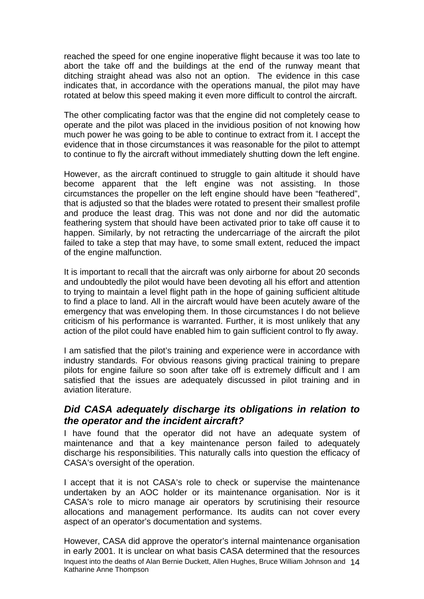<span id="page-14-0"></span>reached the speed for one engine inoperative flight because it was too late to abort the take off and the buildings at the end of the runway meant that ditching straight ahead was also not an option. The evidence in this case indicates that, in accordance with the operations manual, the pilot may have rotated at below this speed making it even more difficult to control the aircraft.

The other complicating factor was that the engine did not completely cease to operate and the pilot was placed in the invidious position of not knowing how much power he was going to be able to continue to extract from it. I accept the evidence that in those circumstances it was reasonable for the pilot to attempt to continue to fly the aircraft without immediately shutting down the left engine.

However, as the aircraft continued to struggle to gain altitude it should have become apparent that the left engine was not assisting. In those circumstances the propeller on the left engine should have been "feathered", that is adjusted so that the blades were rotated to present their smallest profile and produce the least drag. This was not done and nor did the automatic feathering system that should have been activated prior to take off cause it to happen. Similarly, by not retracting the undercarriage of the aircraft the pilot failed to take a step that may have, to some small extent, reduced the impact of the engine malfunction.

It is important to recall that the aircraft was only airborne for about 20 seconds and undoubtedly the pilot would have been devoting all his effort and attention to trying to maintain a level flight path in the hope of gaining sufficient altitude to find a place to land. All in the aircraft would have been acutely aware of the emergency that was enveloping them. In those circumstances I do not believe criticism of his performance is warranted. Further, it is most unlikely that any action of the pilot could have enabled him to gain sufficient control to fly away.

I am satisfied that the pilot's training and experience were in accordance with industry standards. For obvious reasons giving practical training to prepare pilots for engine failure so soon after take off is extremely difficult and I am satisfied that the issues are adequately discussed in pilot training and in aviation literature.

# *Did CASA adequately discharge its obligations in relation to the operator and the incident aircraft?*

I have found that the operator did not have an adequate system of maintenance and that a key maintenance person failed to adequately discharge his responsibilities. This naturally calls into question the efficacy of CASA's oversight of the operation.

I accept that it is not CASA's role to check or supervise the maintenance undertaken by an AOC holder or its maintenance organisation. Nor is it CASA's role to micro manage air operators by scrutinising their resource allocations and management performance. Its audits can not cover every aspect of an operator's documentation and systems.

Inquest into the deaths of Alan Bernie Duckett, Allen Hughes, Bruce William Johnson and 14 Katharine Anne Thompson However, CASA did approve the operator's internal maintenance organisation in early 2001. It is unclear on what basis CASA determined that the resources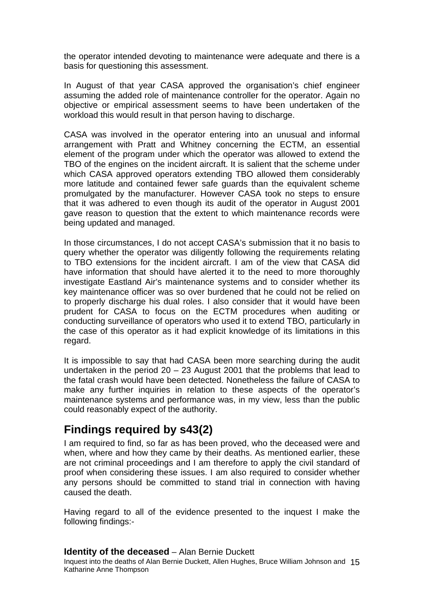<span id="page-15-0"></span>the operator intended devoting to maintenance were adequate and there is a basis for questioning this assessment.

In August of that year CASA approved the organisation's chief engineer assuming the added role of maintenance controller for the operator. Again no objective or empirical assessment seems to have been undertaken of the workload this would result in that person having to discharge.

CASA was involved in the operator entering into an unusual and informal arrangement with Pratt and Whitney concerning the ECTM, an essential element of the program under which the operator was allowed to extend the TBO of the engines on the incident aircraft. It is salient that the scheme under which CASA approved operators extending TBO allowed them considerably more latitude and contained fewer safe guards than the equivalent scheme promulgated by the manufacturer. However CASA took no steps to ensure that it was adhered to even though its audit of the operator in August 2001 gave reason to question that the extent to which maintenance records were being updated and managed.

In those circumstances, I do not accept CASA's submission that it no basis to query whether the operator was diligently following the requirements relating to TBO extensions for the incident aircraft. I am of the view that CASA did have information that should have alerted it to the need to more thoroughly investigate Eastland Air's maintenance systems and to consider whether its key maintenance officer was so over burdened that he could not be relied on to properly discharge his dual roles. I also consider that it would have been prudent for CASA to focus on the ECTM procedures when auditing or conducting surveillance of operators who used it to extend TBO, particularly in the case of this operator as it had explicit knowledge of its limitations in this regard.

It is impossible to say that had CASA been more searching during the audit undertaken in the period 20 – 23 August 2001 that the problems that lead to the fatal crash would have been detected. Nonetheless the failure of CASA to make any further inquiries in relation to these aspects of the operator's maintenance systems and performance was, in my view, less than the public could reasonably expect of the authority.

# **Findings required by s43(2)**

I am required to find, so far as has been proved, who the deceased were and when, where and how they came by their deaths. As mentioned earlier, these are not criminal proceedings and I am therefore to apply the civil standard of proof when considering these issues. I am also required to consider whether any persons should be committed to stand trial in connection with having caused the death.

Having regard to all of the evidence presented to the inquest I make the following findings:-

#### **Identity of the deceased** – Alan Bernie Duckett

Inquest into the deaths of Alan Bernie Duckett, Allen Hughes, Bruce William Johnson and 15 Katharine Anne Thompson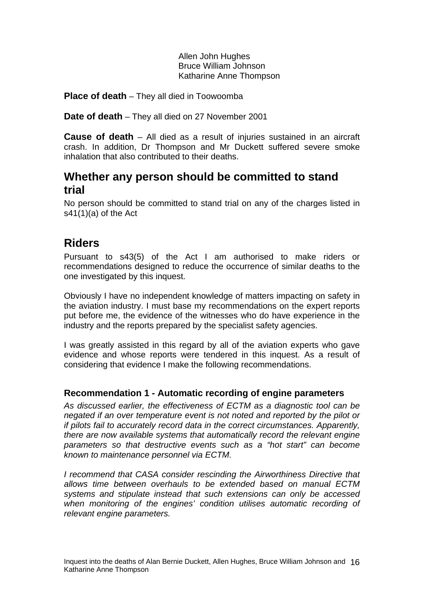Allen John Hughes Bruce William Johnson Katharine Anne Thompson

<span id="page-16-0"></span>**Place of death** – They all died in Toowoomba

**Date of death** – They all died on 27 November 2001

**Cause of death** – All died as a result of injuries sustained in an aircraft crash. In addition, Dr Thompson and Mr Duckett suffered severe smoke inhalation that also contributed to their deaths.

# **Whether any person should be committed to stand trial**

No person should be committed to stand trial on any of the charges listed in  $s41(1)(a)$  of the Act

# **Riders**

Pursuant to s43(5) of the Act I am authorised to make riders or recommendations designed to reduce the occurrence of similar deaths to the one investigated by this inquest.

Obviously I have no independent knowledge of matters impacting on safety in the aviation industry. I must base my recommendations on the expert reports put before me, the evidence of the witnesses who do have experience in the industry and the reports prepared by the specialist safety agencies.

I was greatly assisted in this regard by all of the aviation experts who gave evidence and whose reports were tendered in this inquest. As a result of considering that evidence I make the following recommendations.

# **Recommendation 1 - Automatic recording of engine parameters**

*As discussed earlier, the effectiveness of ECTM as a diagnostic tool can be negated if an over temperature event is not noted and reported by the pilot or if pilots fail to accurately record data in the correct circumstances. Apparently, there are now available systems that automatically record the relevant engine parameters so that destructive events such as a "hot start" can become known to maintenance personnel via ECTM.* 

*I recommend that CASA consider rescinding the Airworthiness Directive that allows time between overhauls to be extended based on manual ECTM systems and stipulate instead that such extensions can only be accessed when monitoring of the engines' condition utilises automatic recording of relevant engine parameters.*